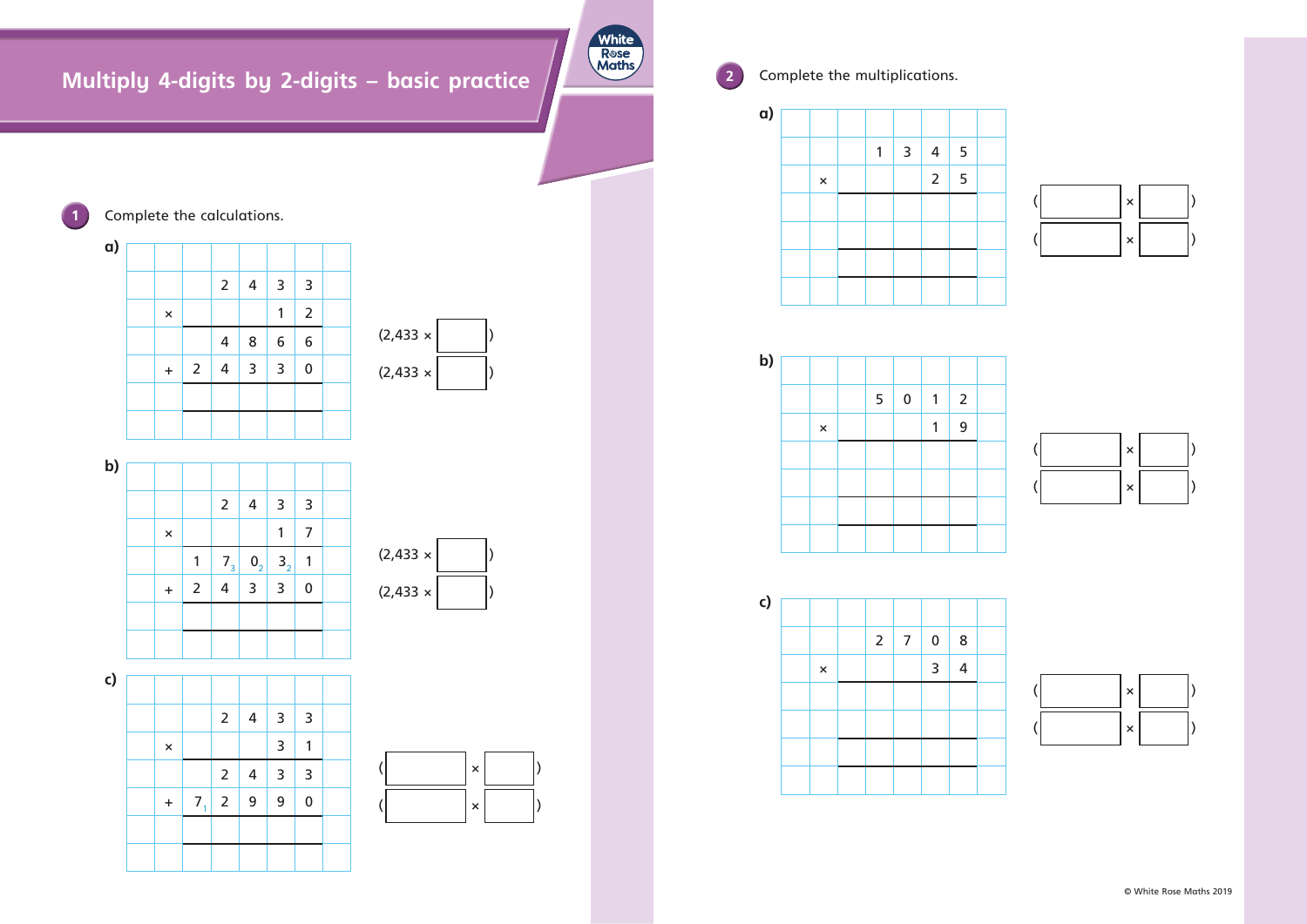# **Multiply 4-digits by 2-digits – basic practice**



**2** Complete the multiplications.





















**1** Complete the calculations.

© White Rose Maths 2019